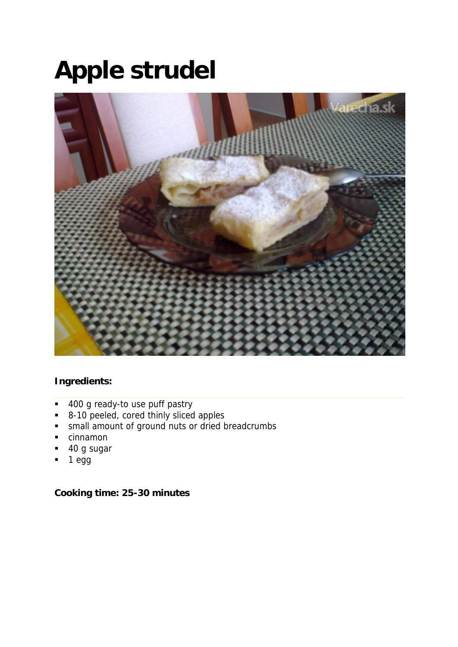# **Apple strudel**



### **Ingredients:**

- 400 g ready-to use puff pastry
- 8-10 peeled, cored thinly sliced apples
- **small amount of ground nuts or dried breadcrumbs**
- **cinnamon**
- 40 g sugar
- $-1$  egg

### **Cooking time: 25-30 minutes**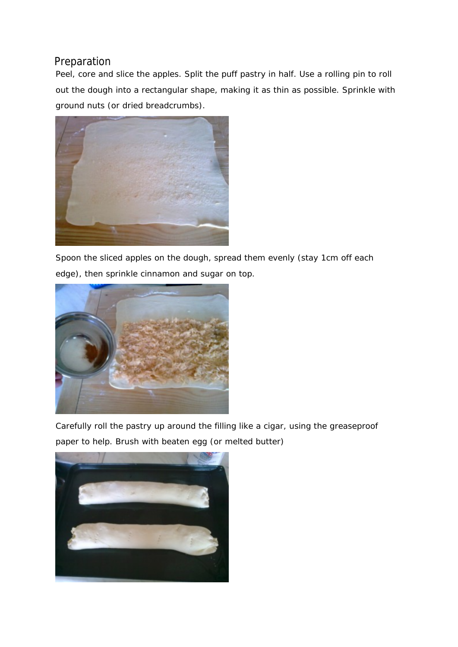# Preparation

Peel, core and slice the apples. Split the puff pastry in half. Use a rolling pin to roll out the dough into a rectangular shape, making it as thin as possible. Sprinkle with ground nuts (or dried breadcrumbs).



Spoon the sliced apples on the dough, spread them evenly (stay 1cm off each edge), then sprinkle cinnamon and sugar on top.



Carefully roll the pastry up around the filling like a cigar, using the greaseproof paper to help. Brush with beaten egg (or melted butter)

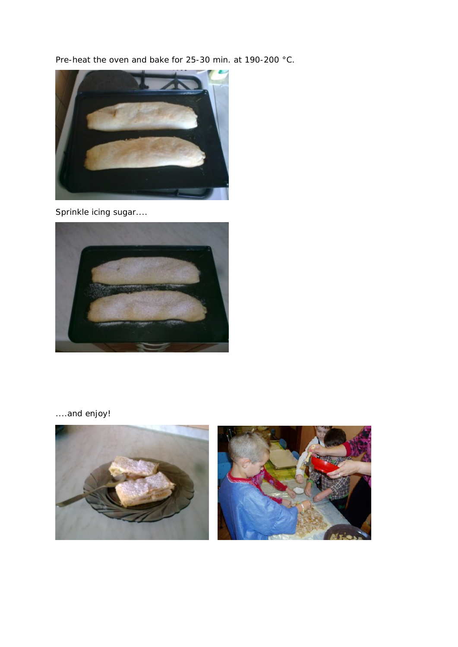Pre-heat the oven and bake for 25-30 min. at 190-200 °C.



Sprinkle icing sugar....



....and enjoy!

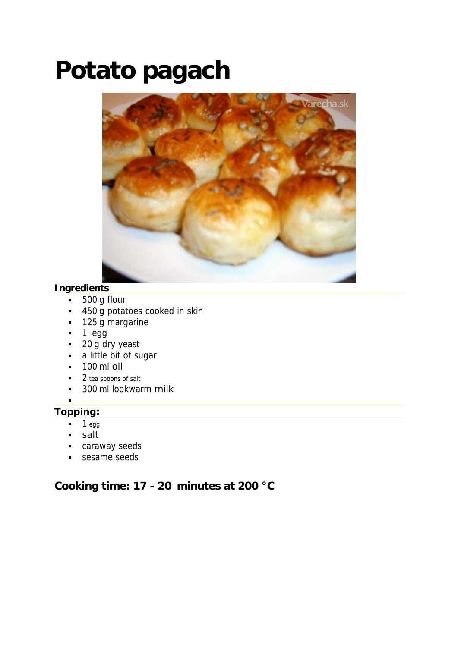# **Potato pagach**



## **Ingredients**

- 500 g flour
- 450 g potatoes cooked in skin
- **125 g margarine**
- $-1$  egg
- $-20$  g dry yeast
- a little bit of sugar
- $-100$  ml oil
- 2 tea spoons of salt
- 300 ml lookwarm milk
- :

### **Topping:**

- $-1$  egg
- · salt
- **caraway seeds**
- sesame seeds

# **Cooking time: 17 - 20 minutes at 200 °C**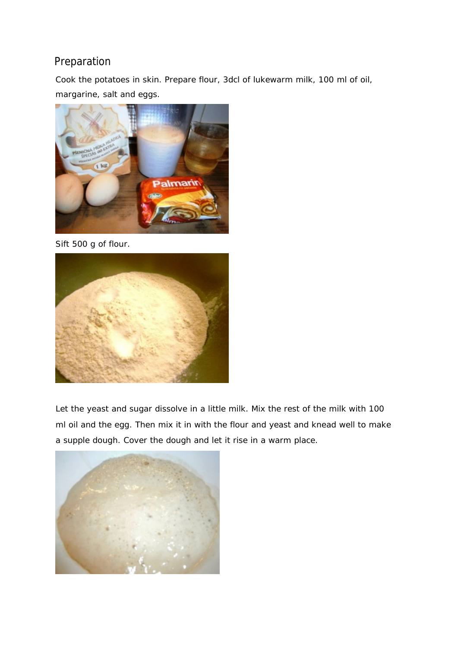# Preparation

Cook the potatoes in skin. Prepare flour, 3dcl of lukewarm milk, 100 ml of oil, margarine, salt and eggs.



Sift 500 g of flour.



Let the yeast and sugar dissolve in a little milk. Mix the rest of the milk with 100 ml oil and the egg. Then mix it in with the flour and yeast and knead well to make a supple dough. Cover the dough and let it rise in a warm place.

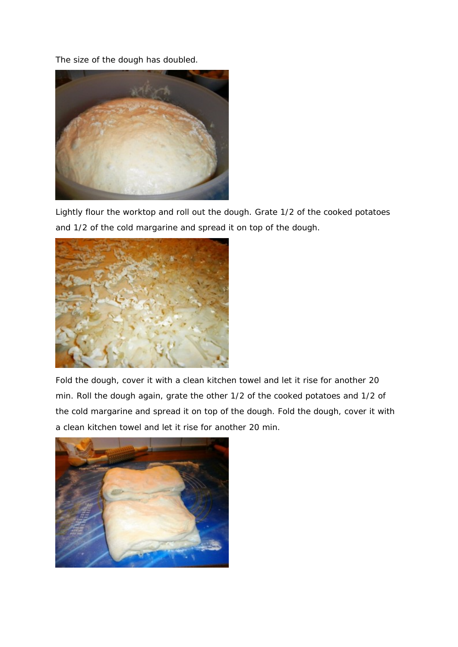The size of the dough has doubled.



Lightly flour the worktop and roll out the dough. Grate 1/2 of the cooked potatoes and 1/2 of the cold margarine and spread it on top of the dough.



Fold the dough, cover it with a clean kitchen towel and let it rise for another 20 min. Roll the dough again, grate the other 1/2 of the cooked potatoes and 1/2 of the cold margarine and spread it on top of the dough. Fold the dough, cover it with a clean kitchen towel and let it rise for another 20 min.

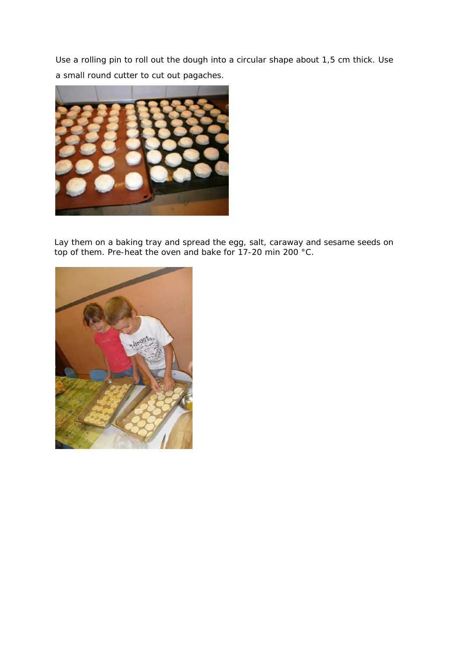Use a rolling pin to roll out the dough into a circular shape about 1,5 cm thick. Use a small round cutter to cut out pagaches.



Lay them on a baking tray and spread the egg, salt, caraway and sesame seeds on top of them. Pre-heat the oven and bake for 17-20 min 200 °C.

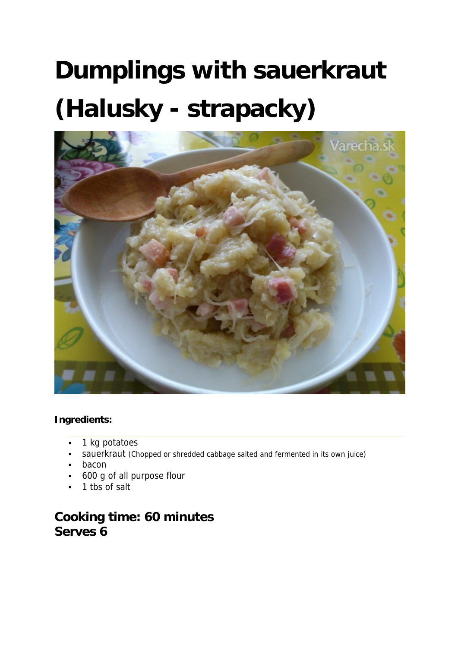# **Dumplings with sauerkraut (Halusky - strapacky)**



#### **Ingredients:**

- **1** kg potatoes
- sauerkraut (Chopped or shredded cabbage salted and fermented in its own juice)
- **-** bacon
- 600 g of all purpose flour
- 1 tbs of salt

# **Cooking time: 60 minutes Serves 6**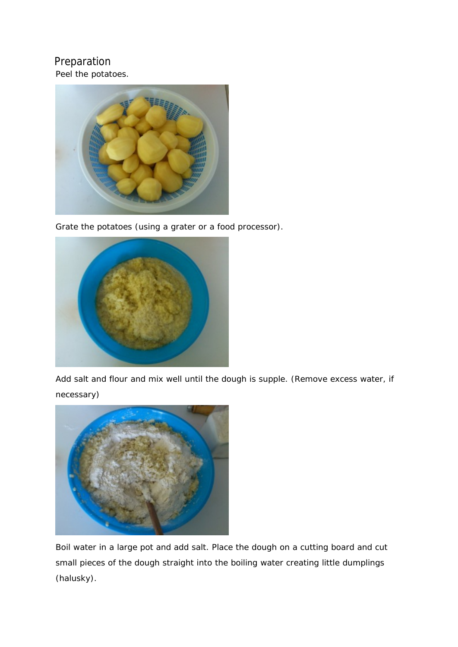# Preparation

Peel the potatoes.



Grate the potatoes (using a grater or a food processor).



Add salt and flour and mix well until the dough is supple. (Remove excess water, if necessary)



Boil water in a large pot and add salt. Place the dough on a cutting board and cut small pieces of the dough straight into the boiling water creating little dumplings (halusky).